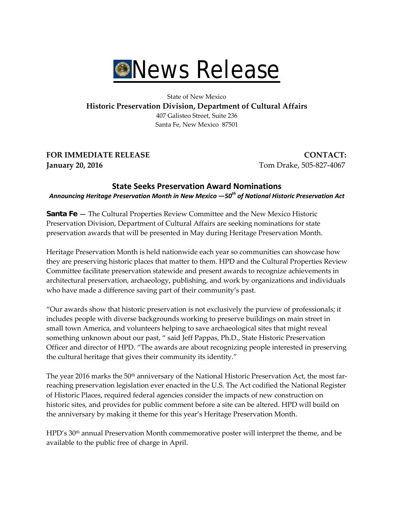

State of New Mexico **Historic Preservation Division, Department of Cultural Affairs** 407 Galisteo Street, Suite 236 Santa Fe, New Mexico 87501

**FOR IMMEDIATE RELEASE CONTACT: January 20, 2016** Tom Drake, 505-827-4067

## **State Seeks Preservation Award Nominations** *Announcing Heritage Preservation Month in New Mexico —50th of National Historic Preservation Act*

**Santa Fe —** The Cultural Properties Review Committee and the New Mexico Historic Preservation Division, Department of Cultural Affairs are seeking nominations for state preservation awards that will be presented in May during Heritage Preservation Month.

Heritage Preservation Month is held nationwide each year so communities can showcase how they are preserving historic places that matter to them. HPD and the Cultural Properties Review Committee facilitate preservation statewide and present awards to recognize achievements in architectural preservation, archaeology, publishing, and work by organizations and individuals who have made a difference saving part of their community's past.

"Our awards show that historic preservation is not exclusively the purview of professionals; it includes people with diverse backgrounds working to preserve buildings on main street in small town America, and volunteers helping to save archaeological sites that might reveal something unknown about our past, " said Jeff Pappas, Ph.D., State Historic Preservation Officer and director of HPD. "The awards are about recognizing people interested in preserving the cultural heritage that gives their community its identity."

The year 2016 marks the  $50<sup>th</sup>$  anniversary of the National Historic Preservation Act, the most farreaching preservation legislation ever enacted in the U.S. The Act codified the National Register of Historic Places, required federal agencies consider the impacts of new construction on historic sites, and provides for public comment before a site can be altered. HPD will build on the anniversary by making it theme for this year's Heritage Preservation Month.

HPD's 30<sup>th</sup> annual Preservation Month commemorative poster will interpret the theme, and be available to the public free of charge in April.